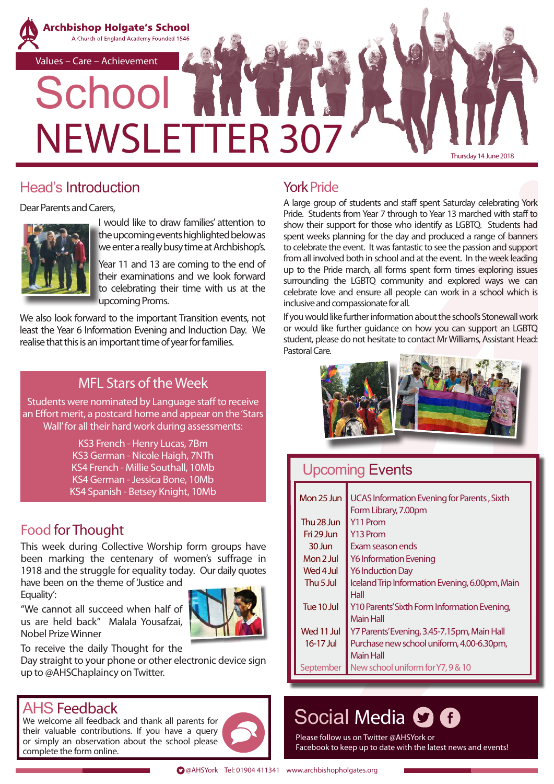

# Head's Introduction

Dear Parents and Carers,



I would like to draw families' attention to the upcoming events highlighted below as we enter a really busy time at Archbishop's.

Year 11 and 13 are coming to the end of their examinations and we look forward to celebrating their time with us at the upcoming Proms.

We also look forward to the important Transition events, not least the Year 6 Information Evening and Induction Day. We realise that this is an important time of year for families.

#### MFL Stars of the Week

Students were nominated by Language staff to receive an Effort merit, a postcard home and appear on the 'Stars Wall' for all their hard work during assessments:

> KS3 French - Henry Lucas, 7Bm KS3 German - Nicole Haigh, 7NTh KS4 French - Millie Southall, 10Mb KS4 German - Jessica Bone, 10Mb KS4 Spanish - Betsey Knight, 10Mb

# Food for Thought

This week during Collective Worship form groups have been marking the centenary of women's suffrage in 1918 and the struggle for equality today. Our daily quotes

have been on the theme of 'Justice and Equality':

"We cannot all succeed when half of us are held back" Malala Yousafzai,

To receive the daily Thought for the

Day straight to your phone or other electronic device sign up to @AHSChaplaincy on Twitter.

# AHS Feedback

Nobel Prize Winner

We welcome all feedback and thank all parents for their valuable contributions. If you have a query or simply an observation about the school please complete the form online.



# York Pride

A large group of students and staff spent Saturday celebrating York Pride. Students from Year 7 through to Year 13 marched with staff to show their support for those who identify as LGBTQ. Students had spent weeks planning for the day and produced a range of banners to celebrate the event. It was fantastic to see the passion and support from all involved both in school and at the event. In the week leading up to the Pride march, all forms spent form times exploring issues surrounding the LGBTQ community and explored ways we can celebrate love and ensure all people can work in a school which is inclusive and compassionate for all.

If you would like further information about the school's Stonewall work or would like further guidance on how you can support an LGBTQ student, please do not hesitate to contact Mr Williams, Assistant Head: Pastoral Care.



# Upcoming Events

| Mon 25 Jun           | UCAS Information Evening for Parents, Sixth    |  |  |  |
|----------------------|------------------------------------------------|--|--|--|
|                      | Form Library, 7.00pm                           |  |  |  |
| Thu 28 Jun           | Y <sub>11</sub> Prom                           |  |  |  |
| Fri 29 Jun           | Y <sub>13</sub> Prom                           |  |  |  |
| $30 \; \text{lim}$   | Exam season ends                               |  |  |  |
| Mon 2 Jul            | <b>Y6 Information Evening</b>                  |  |  |  |
| Wed 4 Jul            | <b>Y6 Induction Day</b>                        |  |  |  |
| Thu <sub>5</sub> Jul | Iceland Trip Information Evening, 6.00pm, Main |  |  |  |
|                      | Hall                                           |  |  |  |
| Tue 10 Jul           | Y10 Parents' Sixth Form Information Evening,   |  |  |  |
|                      | <b>Main Hall</b>                               |  |  |  |
| Wed 11 Jul           | Y7 Parents' Evening, 3.45-7.15pm, Main Hall    |  |  |  |
| 16-17 Jul            | Purchase new school uniform, 4.00-6.30pm,      |  |  |  |
|                      | <b>Main Hall</b>                               |  |  |  |
| September            | New school uniform for Y7, 9 & 10              |  |  |  |

# Social Media C O

Please follow us on Twitter @AHSYork or Facebook to keep up to date with the latest news and events!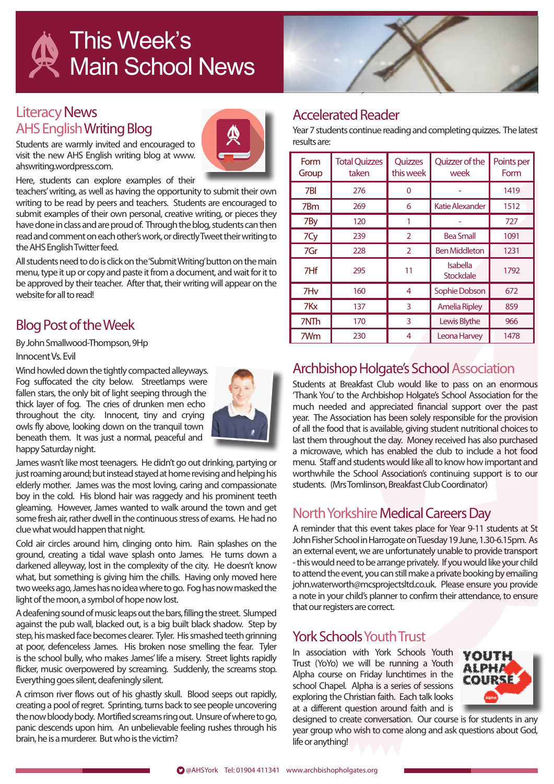

#### Literacy News AHS EnglishWriting Blog



Students are warmly invited and encouraged to visit the new AHS English writing blog at www. ahswriting.wordpress.com.

Here, students can explore examples of their

teachers' writing, as well as having the opportunity to submit their own writing to be read by peers and teachers. Students are encouraged to submit examples of their own personal, creative writing, or pieces they have done in class and are proud of. Through the blog, students can then read and comment on each other's work, or directly Tweet their writing to the AHS English Twitter feed.

All students need to do is click on the 'Submit Writing' button on the main menu, type it up or copy and paste it from a document, and wait for it to be approved by their teacher. After that, their writing will appear on the website for all to read!

#### Blog Post of the Week

By John Smallwood-Thompson, 9Hp

#### Innocent Vs. Evil

Wind howled down the tightly compacted alleyways. Fog suffocated the city below. Streetlamps were fallen stars, the only bit of light seeping through the thick layer of fog. The cries of drunken men echo throughout the city. Innocent, tiny and crying owls fly above, looking down on the tranquil town beneath them. It was just a normal, peaceful and happy Saturday night.



James wasn't like most teenagers. He didn't go out drinking, partying or just roaming around; but instead stayed at home revising and helping his elderly mother. James was the most loving, caring and compassionate boy in the cold. His blond hair was raggedy and his prominent teeth gleaming. However, James wanted to walk around the town and get some fresh air, rather dwell in the continuous stress of exams. He had no clue what would happen that night.

Cold air circles around him, clinging onto him. Rain splashes on the ground, creating a tidal wave splash onto James. He turns down a darkened alleyway, lost in the complexity of the city. He doesn't know what, but something is giving him the chills. Having only moved here two weeks ago, James has no idea where to go. Fog has now masked the light of the moon, a symbol of hope now lost.

A deafening sound of music leaps out the bars, filling the street. Slumped against the pub wall, blacked out, is a big built black shadow. Step by step, his masked face becomes clearer. Tyler. His smashed teeth grinning at poor, defenceless James. His broken nose smelling the fear. Tyler is the school bully, who makes James' life a misery. Street lights rapidly flicker, music overpowered by screaming. Suddenly, the screams stop. Everything goes silent, deafeningly silent.

A crimson river flows out of his ghastly skull. Blood seeps out rapidly, creating a pool of regret. Sprinting, turns back to see people uncovering the now bloody body. Mortified screams ring out. Unsure of where to go, panic descends upon him. An unbelievable feeling rushes through his brain, he is a murderer. But who is the victim?

#### Accelerated Reader

Year 7 students continue reading and completing quizzes. The latest results are:

| Form<br>Group   | <b>Total Quizzes</b><br>taken | Quizzes<br>this week | Quizzer of the<br>week | Points per<br>Form |
|-----------------|-------------------------------|----------------------|------------------------|--------------------|
| 7BI             | 276                           | 0                    |                        | 1419               |
| 7Bm             | 269                           | 6                    | <b>Katie Alexander</b> | 1512               |
| 7By             | 120                           | 1                    |                        | 727                |
| 7Cy             | 239                           | $\overline{2}$       | <b>Bea Small</b>       | 1091               |
| 7Gr             | 228                           | $\overline{2}$       | <b>Ben Middleton</b>   | 1231               |
| 7Hf             | 295                           | 11                   | Isabella<br>Stockdale  | 1792               |
| 7H <sub>v</sub> | 160                           | 4                    | Sophie Dobson          | 672                |
| 7Kx             | 137                           | 3                    | <b>Amelia Ripley</b>   | 859                |
| 7NTh            | 170                           | 3                    | Lewis Blythe           | 966                |
| 7Wm             | 230                           | 4                    | Leona Harvey           | 1478               |

# Archbishop Holgate's School Association

Students at Breakfast Club would like to pass on an enormous 'Thank You' to the Archbishop Holgate's School Association for the much needed and appreciated financial support over the past year. The Association has been solely responsible for the provision of all the food that is available, giving student nutritional choices to last them throughout the day. Money received has also purchased a microwave, which has enabled the club to include a hot food menu. Staff and students would like all to know how important and worthwhile the School Association's continuing support is to our students. (Mrs Tomlinson, Breakfast Club Coordinator)

# North Yorkshire Medical Careers Day

A reminder that this event takes place for Year 9-11 students at St John Fisher School in Harrogate on Tuesday 19 June, 1.30-6.15pm. As an external event, we are unfortunately unable to provide transport - this would need to be arrange privately. If you would like your child to attend the event, you can still make a private booking by emailing john.waterworth@mcsprojectsltd.co.uk. Please ensure you provide a note in your child's planner to confirm their attendance, to ensure that our registers are correct.

#### York Schools Youth Trust

In association with York Schools Youth Trust (YoYo) we will be running a Youth Alpha course on Friday lunchtimes in the school Chapel. Alpha is a series of sessions exploring the Christian faith. Each talk looks at a different question around faith and is



designed to create conversation. Our course is for students in any year group who wish to come along and ask questions about God, life or anything!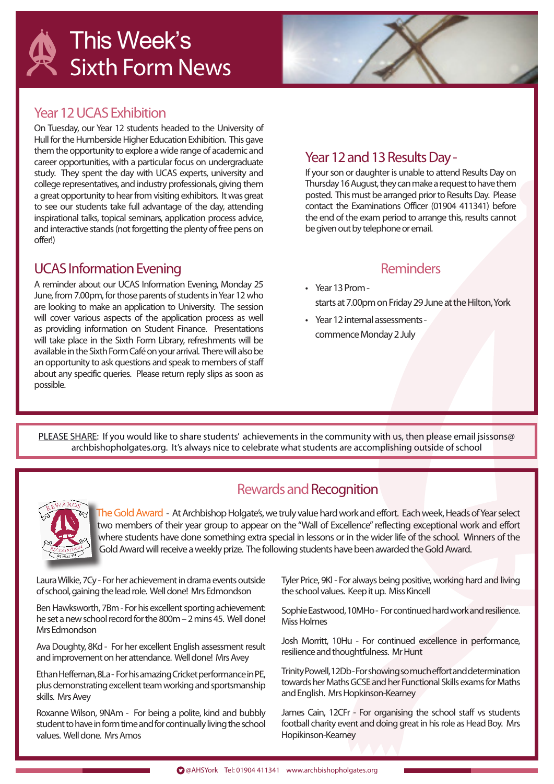

### Year 12 UCAS Exhibition

On Tuesday, our Year 12 students headed to the University of Hull for the Humberside Higher Education Exhibition. This gave them the opportunity to explore a wide range of academic and career opportunities, with a particular focus on undergraduate study. They spent the day with UCAS experts, university and college representatives, and industry professionals, giving them a great opportunity to hear from visiting exhibitors. It was great to see our students take full advantage of the day, attending inspirational talks, topical seminars, application process advice, and interactive stands (not forgetting the plenty of free pens on offer!)

# UCAS Information Evening

A reminder about our UCAS Information Evening, Monday 25 June, from 7.00pm, for those parents of students in Year 12 who are looking to make an application to University. The session will cover various aspects of the application process as well as providing information on Student Finance. Presentations will take place in the Sixth Form Library, refreshments will be available in the Sixth Form Café on your arrival. There will also be an opportunity to ask questions and speak to members of staff about any specific queries. Please return reply slips as soon as possible.

#### Year 12 and 13 Results Day -

If your son or daughter is unable to attend Results Day on Thursday 16 August, they can make a request to have them posted. This must be arranged prior to Results Day. Please contact the Examinations Officer (01904 411341) before the end of the exam period to arrange this, results cannot be given out by telephone or email.

#### Reminders

- Year 13 Prom starts at 7.00pm on Friday 29 June at the Hilton, York
- Year 12 internal assessments commence Monday 2 July

PLEASE SHARE: If you would like to share students' achievements in the community with us, then please email jsissons@ archbishopholgates.org. It's always nice to celebrate what students are accomplishing outside of school



# Rewards and Recognition

The Gold Award - At Archbishop Holgate's, we truly value hard work and effort. Each week, Heads of Year select two members of their year group to appear on the "Wall of Excellence" reflecting exceptional work and effort where students have done something extra special in lessons or in the wider life of the school. Winners of the Gold Award will receive a weekly prize. The following students have been awarded the Gold Award.

Laura Wilkie, 7Cy - For her achievement in drama events outside of school, gaining the lead role. Well done! Mrs Edmondson

Ben Hawksworth, 7Bm - For his excellent sporting achievement: he set a new school record for the 800m – 2 mins 45. Well done! Mrs Edmondson

Ava Doughty, 8Kd - For her excellent English assessment result and improvement on her attendance. Well done! Mrs Avey

Ethan Heffernan, 8La - For his amazing Cricket performance in PE, plus demonstrating excellent team working and sportsmanship skills. Mrs Avey

Roxanne Wilson, 9NAm - For being a polite, kind and bubbly student to have in form time and for continually living the school values. Well done. Mrs Amos

Tyler Price, 9Kl - For always being positive, working hard and living the school values. Keep it up. Miss Kincell

Sophie Eastwood, 10MHo - For continued hard work and resilience. Miss Holmes

Josh Morritt, 10Hu - For continued excellence in performance, resilience and thoughtfulness. Mr Hunt

Trinity Powell, 12Db - For showing so much effort and determination towards her Maths GCSE and her Functional Skills exams for Maths and English. Mrs Hopkinson-Kearney

James Cain, 12CFr - For organising the school staff vs students football charity event and doing great in his role as Head Boy. Mrs Hopikinson-Kearney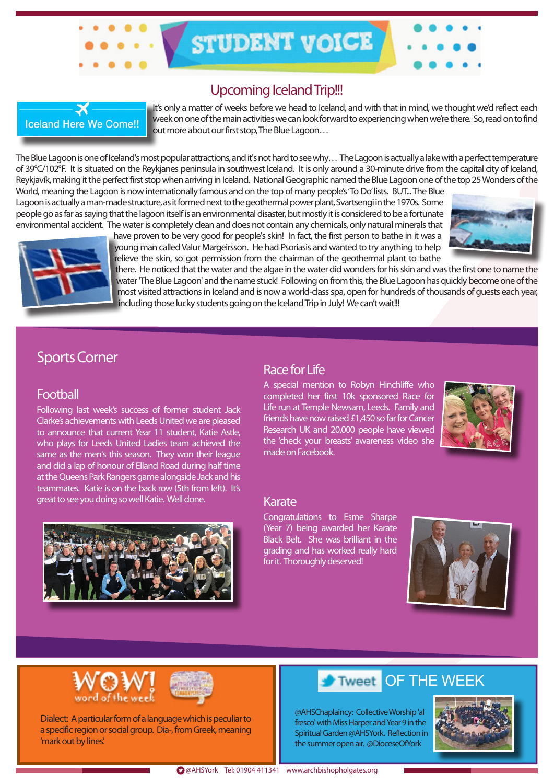#### Upcoming Iceland Trip!!!

STUDENT VOICE



It's only a matter of weeks before we head to Iceland, and with that in mind, we thought we'd reflect each week on one of the main activities we can look forward to experiencing when we're there. So, read on to find out more about our first stop, The Blue Lagoon…

The Blue Lagoon is one of Iceland's most popular attractions, and it's not hard to see why… The Lagoon is actually a lake with a perfect temperature of 39°C/102°F. It is situated on the Reykjanes peninsula in southwest Iceland. It is only around a 30-minute drive from the capital city of Iceland, Reykjavík, making it the perfect first stop when arriving in Iceland. National Geographic named the Blue Lagoon one of the top 25 Wonders of the World, meaning the Lagoon is now internationally famous and on the top of many people's 'To Do' lists. BUT... The Blue

Lagoon is actually a man-made structure, as it formed next to the geothermal power plant, Svartsengi in the 1970s. Some people go as far as saying that the lagoon itself is an environmental disaster, but mostly it is considered to be a fortunate environmental accident. The water is completely clean and does not contain any chemicals, only natural minerals that



have proven to be very good for people's skin! In fact, the first person to bathe in it was a young man called Valur Margeirsson. He had Psoriasis and wanted to try anything to help relieve the skin, so got permission from the chairman of the geothermal plant to bathe

there. He noticed that the water and the algae in the water did wonders for his skin and was the first one to name the water 'The Blue Lagoon' and the name stuck! Following on from this, the Blue Lagoon has quickly become one of the most visited attractions in Iceland and is now a world-class spa, open for hundreds of thousands of guests each year, including those lucky students going on the Iceland Trip in July! We can't wait!!!

#### Sports Corner

#### Football

Following last week's success of former student Jack Clarke's achievements with Leeds United we are pleased to announce that current Year 11 student, Katie Astle, who plays for Leeds United Ladies team achieved the same as the men's this season. They won their league and did a lap of honour of Elland Road during half time at the Queens Park Rangers game alongside Jack and his teammates. Katie is on the back row (5th from left). It's great to see you doing so well Katie. Well done. Karate



#### Race for Life

A special mention to Robyn Hinchliffe who completed her first 10k sponsored Race for Life run at Temple Newsam, Leeds. Family and friends have now raised £1,450 so far for Cancer Research UK and 20,000 people have viewed the 'check your breasts' awareness video she made on Facebook.



Congratulations to Esme Sharpe (Year 7) being awarded her Karate Black Belt. She was brilliant in the grading and has worked really hard for it. Thoroughly deserved!





Dialect: A particular form of a language which is peculiar to a specific region or social group. Dia-, from Greek, meaning 'mark out by lines'.

# Tweet OF THE WEEK

@AHSChaplaincy: Collective Worship 'al fresco' with Miss Harper and Year 9 in the Spiritual Garden @AHSYork. Reflection in the summer open air. @DioceseOfYork